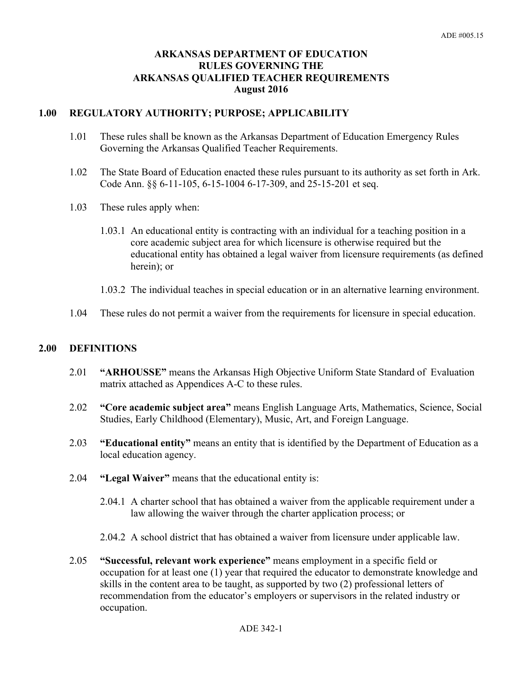## **ARKANSAS DEPARTMENT OF EDUCATION RULES GOVERNING THE ARKANSAS QUALIFIED TEACHER REQUIREMENTS August 2016**

### **1.00 REGULATORY AUTHORITY; PURPOSE; APPLICABILITY**

- 1.01 These rules shall be known as the Arkansas Department of Education Emergency Rules Governing the Arkansas Qualified Teacher Requirements.
- 1.02 The State Board of Education enacted these rules pursuant to its authority as set forth in Ark. Code Ann. §§ 6-11-105, 6-15-1004 6-17-309, and 25-15-201 et seq.
- 1.03 These rules apply when:
	- 1.03.1 An educational entity is contracting with an individual for a teaching position in a core academic subject area for which licensure is otherwise required but the educational entity has obtained a legal waiver from licensure requirements (as defined herein); or
	- 1.03.2 The individual teaches in special education or in an alternative learning environment.
- 1.04 These rules do not permit a waiver from the requirements for licensure in special education.

### **2.00 DEFINITIONS**

- 2.01 **"ARHOUSSE"** means the Arkansas High Objective Uniform State Standard of Evaluation matrix attached as Appendices A-C to these rules.
- 2.02 **"Core academic subject area"** means English Language Arts, Mathematics, Science, Social Studies, Early Childhood (Elementary), Music, Art, and Foreign Language.
- 2.03 **"Educational entity"** means an entity that is identified by the Department of Education as a local education agency.
- 2.04 **"Legal Waiver"** means that the educational entity is:
	- 2.04.1 A charter school that has obtained a waiver from the applicable requirement under a law allowing the waiver through the charter application process; or
	- 2.04.2 A school district that has obtained a waiver from licensure under applicable law.
- 2.05 **"Successful, relevant work experience"** means employment in a specific field or occupation for at least one (1) year that required the educator to demonstrate knowledge and skills in the content area to be taught, as supported by two (2) professional letters of recommendation from the educator's employers or supervisors in the related industry or occupation.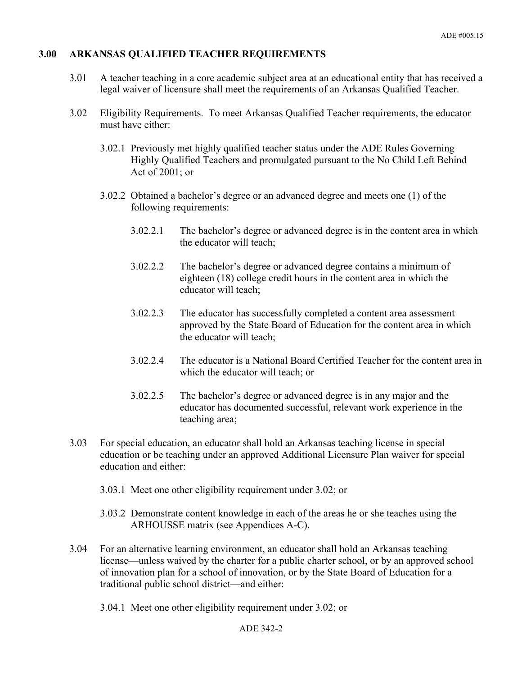### **3.00 ARKANSAS QUALIFIED TEACHER REQUIREMENTS**

- 3.01 A teacher teaching in a core academic subject area at an educational entity that has received a legal waiver of licensure shall meet the requirements of an Arkansas Qualified Teacher.
- 3.02 Eligibility Requirements. To meet Arkansas Qualified Teacher requirements, the educator must have either:
	- 3.02.1 Previously met highly qualified teacher status under the ADE Rules Governing Highly Qualified Teachers and promulgated pursuant to the No Child Left Behind Act of 2001; or
	- 3.02.2 Obtained a bachelor's degree or an advanced degree and meets one (1) of the following requirements:
		- 3.02.2.1 The bachelor's degree or advanced degree is in the content area in which the educator will teach;
		- 3.02.2.2 The bachelor's degree or advanced degree contains a minimum of eighteen (18) college credit hours in the content area in which the educator will teach;
		- 3.02.2.3 The educator has successfully completed a content area assessment approved by the State Board of Education for the content area in which the educator will teach;
		- 3.02.2.4 The educator is a National Board Certified Teacher for the content area in which the educator will teach; or
		- 3.02.2.5 The bachelor's degree or advanced degree is in any major and the educator has documented successful, relevant work experience in the teaching area;
- 3.03 For special education, an educator shall hold an Arkansas teaching license in special education or be teaching under an approved Additional Licensure Plan waiver for special education and either:
	- 3.03.1 Meet one other eligibility requirement under 3.02; or
	- 3.03.2 Demonstrate content knowledge in each of the areas he or she teaches using the ARHOUSSE matrix (see Appendices A-C).
- 3.04 For an alternative learning environment, an educator shall hold an Arkansas teaching license—unless waived by the charter for a public charter school, or by an approved school of innovation plan for a school of innovation, or by the State Board of Education for a traditional public school district—and either:
	- 3.04.1 Meet one other eligibility requirement under 3.02; or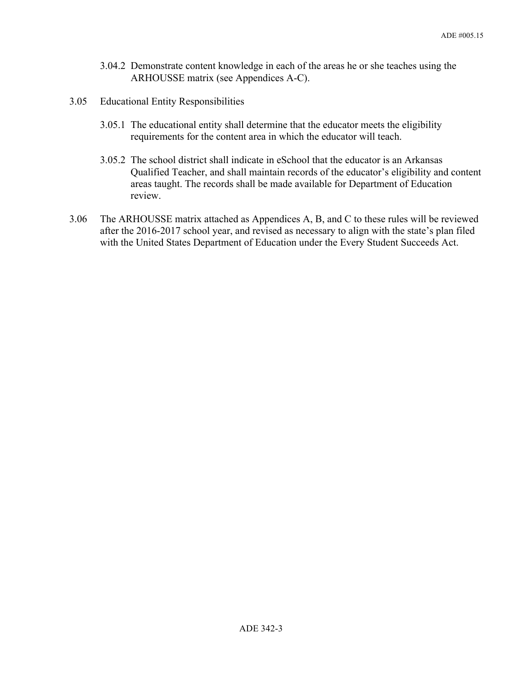- 3.04.2 Demonstrate content knowledge in each of the areas he or she teaches using the ARHOUSSE matrix (see Appendices A-C).
- 3.05 Educational Entity Responsibilities
	- 3.05.1 The educational entity shall determine that the educator meets the eligibility requirements for the content area in which the educator will teach.
	- 3.05.2 The school district shall indicate in eSchool that the educator is an Arkansas Qualified Teacher, and shall maintain records of the educator's eligibility and content areas taught. The records shall be made available for Department of Education review.
- 3.06 The ARHOUSSE matrix attached as Appendices A, B, and C to these rules will be reviewed after the 2016-2017 school year, and revised as necessary to align with the state's plan filed with the United States Department of Education under the Every Student Succeeds Act.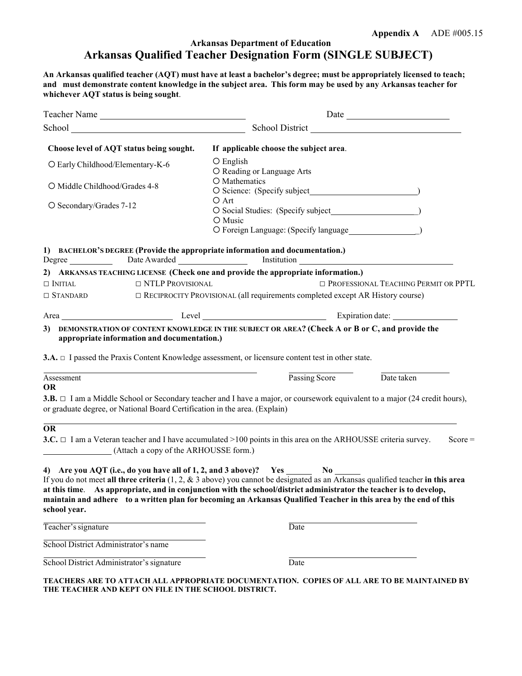## **Arkansas Department of Education Arkansas Qualified Teacher Designation Form (SINGLE SUBJECT)**

**An Arkansas qualified teacher (AQT) must have at least a bachelor's degree; must be appropriately licensed to teach;** and must demonstrate content knowledge in the subject area. This form may be used by any Arkansas teacher for **whichever AQT status is being sought**.

| Teacher Name                              |                                                                            |                                                                                                                                                                                                                                                                                                                                                                                                                                                    | Date                                           |  |
|-------------------------------------------|----------------------------------------------------------------------------|----------------------------------------------------------------------------------------------------------------------------------------------------------------------------------------------------------------------------------------------------------------------------------------------------------------------------------------------------------------------------------------------------------------------------------------------------|------------------------------------------------|--|
|                                           |                                                                            | School District                                                                                                                                                                                                                                                                                                                                                                                                                                    |                                                |  |
|                                           | Choose level of AQT status being sought.                                   | If applicable choose the subject area.                                                                                                                                                                                                                                                                                                                                                                                                             |                                                |  |
| O Early Childhood/Elementary-K-6          |                                                                            | O English<br>O Reading or Language Arts                                                                                                                                                                                                                                                                                                                                                                                                            |                                                |  |
| O Middle Childhood/Grades 4-8             |                                                                            | O Mathematics                                                                                                                                                                                                                                                                                                                                                                                                                                      |                                                |  |
| O Secondary/Grades 7-12                   |                                                                            | O Art<br>O Music                                                                                                                                                                                                                                                                                                                                                                                                                                   |                                                |  |
|                                           |                                                                            | 1) BACHELOR'S DEGREE (Provide the appropriate information and documentation.)                                                                                                                                                                                                                                                                                                                                                                      |                                                |  |
| $\Box$ Initial                            | $\Box$ NTLP PROVISIONAL                                                    | 2) ARKANSAS TEACHING LICENSE (Check one and provide the appropriate information.)                                                                                                                                                                                                                                                                                                                                                                  | <b>ID PROFESSIONAL TEACHING PERMIT OR PPTL</b> |  |
| $\Box$ STANDARD                           |                                                                            | $\Box$ RECIPROCITY PROVISIONAL (all requirements completed except AR History course)                                                                                                                                                                                                                                                                                                                                                               |                                                |  |
|                                           |                                                                            |                                                                                                                                                                                                                                                                                                                                                                                                                                                    |                                                |  |
|                                           |                                                                            |                                                                                                                                                                                                                                                                                                                                                                                                                                                    |                                                |  |
|                                           | appropriate information and documentation.)                                | 3.A. □ I passed the Praxis Content Knowledge assessment, or licensure content test in other state.                                                                                                                                                                                                                                                                                                                                                 |                                                |  |
| Assessment                                |                                                                            | Passing Score                                                                                                                                                                                                                                                                                                                                                                                                                                      | Date taken                                     |  |
| <b>OR</b>                                 |                                                                            |                                                                                                                                                                                                                                                                                                                                                                                                                                                    |                                                |  |
|                                           |                                                                            | 3.B. $\Box$ I am a Middle School or Secondary teacher and I have a major, or coursework equivalent to a major (24 credit hours),                                                                                                                                                                                                                                                                                                                   |                                                |  |
|                                           | or graduate degree, or National Board Certification in the area. (Explain) |                                                                                                                                                                                                                                                                                                                                                                                                                                                    |                                                |  |
| <b>OR</b>                                 | (Attach a copy of the ARHOUSSE form.)                                      | 3.C. $\Box$ I am a Veteran teacher and I have accumulated >100 points in this area on the ARHOUSSE criteria survey.                                                                                                                                                                                                                                                                                                                                | $Score =$                                      |  |
| school year.                              |                                                                            | 4) Are you AQT (i.e., do you have all of 1, 2, and 3 above)? Yes No<br>If you do not meet all three criteria $(1, 2, \& 3$ above) you cannot be designated as an Arkansas qualified teacher in this area<br>at this time. As appropriate, and in conjunction with the school/district administrator the teacher is to develop.<br>maintain and adhere to a written plan for becoming an Arkansas Qualified Teacher in this area by the end of this |                                                |  |
| Teacher's signature                       |                                                                            | Date                                                                                                                                                                                                                                                                                                                                                                                                                                               |                                                |  |
| School District Administrator's name      |                                                                            |                                                                                                                                                                                                                                                                                                                                                                                                                                                    |                                                |  |
| School District Administrator's signature |                                                                            | Date                                                                                                                                                                                                                                                                                                                                                                                                                                               |                                                |  |

**TEACHERS ARE TO ATTACH ALL APPROPRIATE DOCUMENTATION. COPIES OF ALL ARE TO BE MAINTAINED BY THE TEACHER AND KEPT ON FILE IN THE SCHOOL DISTRICT.**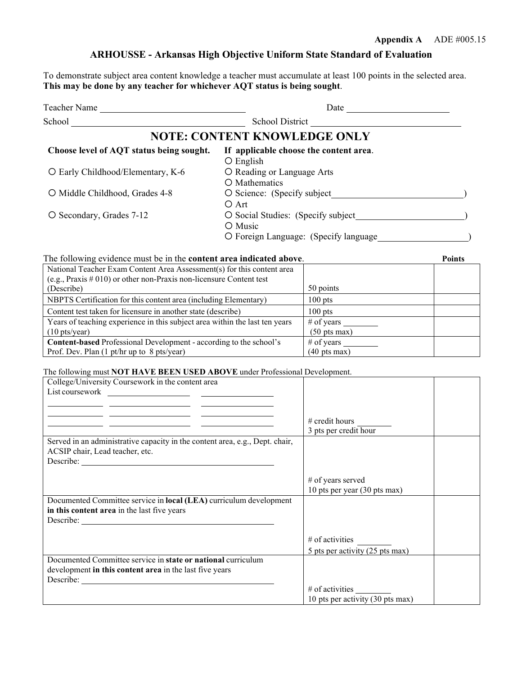## **ARHOUSSE - Arkansas High Objective Uniform State Standard of Evaluation**

To demonstrate subject area content knowledge a teacher must accumulate at least 100 points in the selected area. **This may be done by any teacher for whichever AQT status is being sought**.

| <b>Teacher Name</b>                      | Date                                                                                   |  |
|------------------------------------------|----------------------------------------------------------------------------------------|--|
| School                                   | School District                                                                        |  |
|                                          | <b>NOTE: CONTENT KNOWLEDGE ONLY</b>                                                    |  |
| Choose level of AQT status being sought. | If applicable choose the content area.<br>$\bigcirc$ English                           |  |
| O Early Childhood/Elementary, K-6        | O Reading or Language Arts<br>O Mathematics                                            |  |
| O Middle Childhood, Grades 4-8           | $\overline{O}$ Science: (Specify subject<br>O Art                                      |  |
| O Secondary, Grades 7-12                 | O Social Studies: (Specify subject<br>O Music<br>O Foreign Language: (Specify language |  |

The following evidence must be in the **content area indicated above**. **Points**

| National Teacher Exam Content Area Assessment(s) for this content area      |                                |
|-----------------------------------------------------------------------------|--------------------------------|
| (e.g., Praxis $\#$ 010) or other non-Praxis non-licensure Content test      |                                |
| (Describe)                                                                  | 50 points                      |
| NBPTS Certification for this content area (including Elementary)            | $100$ pts                      |
| Content test taken for licensure in another state (describe)                | $100$ pts                      |
| Years of teaching experience in this subject area within the last ten years | # of years                     |
| $(10 \text{ pts/year})$                                                     | $(50 \text{ pts} \text{ max})$ |
| <b>Content-based</b> Professional Development - according to the school's   | # of years                     |
| Prof. Dev. Plan (1 pt/hr up to 8 pts/year)                                  | $(40 \text{ pts} \text{ max})$ |

#### The following must **NOT HAVE BEEN USED ABOVE** under Professional Development.

| College/University Coursework in the content area                            |                                  |
|------------------------------------------------------------------------------|----------------------------------|
|                                                                              |                                  |
|                                                                              |                                  |
|                                                                              |                                  |
|                                                                              | # credit hours                   |
|                                                                              | 3 pts per credit hour            |
| Served in an administrative capacity in the content area, e.g., Dept. chair, |                                  |
| ACSIP chair, Lead teacher, etc.                                              |                                  |
|                                                                              |                                  |
|                                                                              |                                  |
|                                                                              | # of years served                |
|                                                                              | 10 pts per year (30 pts max)     |
| Documented Committee service in local (LEA) curriculum development           |                                  |
| in this content area in the last five years                                  |                                  |
| Describe:                                                                    |                                  |
|                                                                              |                                  |
|                                                                              | $#$ of activities                |
|                                                                              | 5 pts per activity (25 pts max)  |
| Documented Committee service in state or national curriculum                 |                                  |
| development in this content area in the last five years                      |                                  |
| Describe:                                                                    |                                  |
|                                                                              | $\#$ of activities               |
|                                                                              | 10 pts per activity (30 pts max) |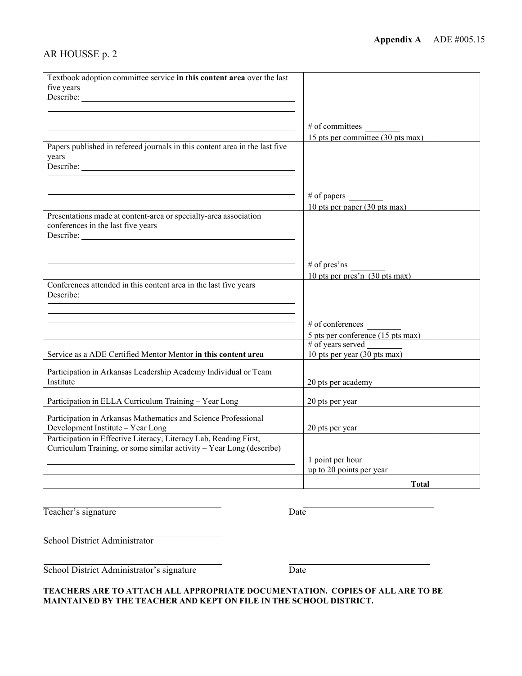## AR HOUSSE p. 2

| Textbook adoption committee service in this content area over the last<br>five years                                                      |                                                         |  |
|-------------------------------------------------------------------------------------------------------------------------------------------|---------------------------------------------------------|--|
|                                                                                                                                           |                                                         |  |
|                                                                                                                                           | $#$ of committees                                       |  |
| <u> 1989 - Johann Stoff, amerikansk politiker (* 1908)</u>                                                                                | 15 pts per committee (30 pts max)                       |  |
| Papers published in refereed journals in this content area in the last five<br>years                                                      |                                                         |  |
|                                                                                                                                           |                                                         |  |
|                                                                                                                                           | $#$ of papers                                           |  |
|                                                                                                                                           | 10 pts per paper (30 pts max)                           |  |
| Presentations made at content-area or specialty-area association<br>conferences in the last five years                                    |                                                         |  |
| Describe:                                                                                                                                 |                                                         |  |
|                                                                                                                                           |                                                         |  |
|                                                                                                                                           | $#$ of pres'ns                                          |  |
|                                                                                                                                           | 10 pts per pres'n $(30 \text{ pts max})$                |  |
| Conferences attended in this content area in the last five years                                                                          |                                                         |  |
|                                                                                                                                           |                                                         |  |
|                                                                                                                                           |                                                         |  |
|                                                                                                                                           | $#$ of conferences<br>5 pts per conference (15 pts max) |  |
|                                                                                                                                           | # of years served                                       |  |
| Service as a ADE Certified Mentor Mentor in this content area                                                                             | 10 pts per year (30 pts max)                            |  |
| Participation in Arkansas Leadership Academy Individual or Team                                                                           |                                                         |  |
| Institute                                                                                                                                 | 20 pts per academy                                      |  |
| Participation in ELLA Curriculum Training - Year Long                                                                                     | 20 pts per year                                         |  |
| Participation in Arkansas Mathematics and Science Professional                                                                            |                                                         |  |
| Development Institute - Year Long                                                                                                         | 20 pts per year                                         |  |
| Participation in Effective Literacy, Literacy Lab, Reading First,<br>Curriculum Training, or some similar activity - Year Long (describe) |                                                         |  |
|                                                                                                                                           | 1 point per hour                                        |  |
|                                                                                                                                           | up to 20 points per year                                |  |
|                                                                                                                                           | Total                                                   |  |

Teacher's signature Date

School District Administrator

School District Administrator's signature Date

#### **TEACHERS ARE TO ATTACH ALL APPROPRIATE DOCUMENTATION. COPIES OF ALL ARE TO BE MAINTAINED BY THE TEACHER AND KEPT ON FILE IN THE SCHOOL DISTRICT.**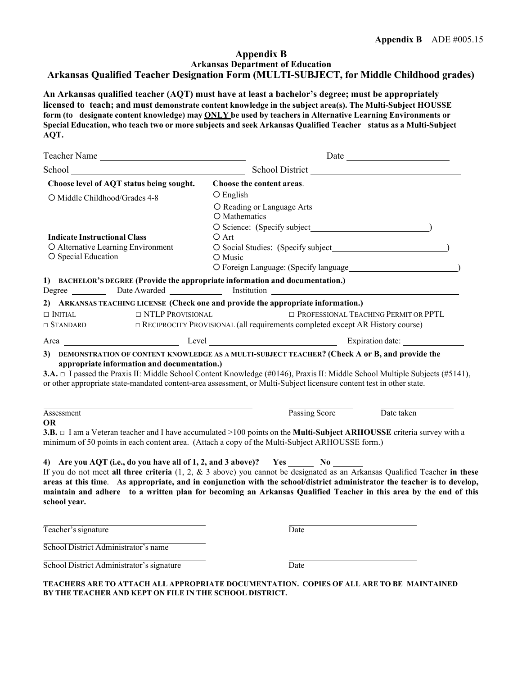#### **Appendix B Arkansas Department of Education Arkansas Qualified Teacher Designation Form (MULTI-SUBJECT, for Middle Childhood grades)**

**An Arkansas qualified teacher (AQT) must have at least a bachelor's degree; must be appropriately licensed to teach; and must demonstrate content knowledge in the subject area(s). The Multi-Subject HOUSSE form (to designate content knowledge) may ONLY be used by teachers in Alternative Learning Environments or Special Education, who teach two or more subjects and seek Arkansas Qualified Teacher status as a Multi-Subject AQT.**

| Teacher Name                              |                         |                                                                                                                                                                                                                                                                                                                                                                                                                                                              |
|-------------------------------------------|-------------------------|--------------------------------------------------------------------------------------------------------------------------------------------------------------------------------------------------------------------------------------------------------------------------------------------------------------------------------------------------------------------------------------------------------------------------------------------------------------|
|                                           |                         | School Contact Contact School District                                                                                                                                                                                                                                                                                                                                                                                                                       |
| Choose level of AQT status being sought.  |                         | Choose the content areas.                                                                                                                                                                                                                                                                                                                                                                                                                                    |
| O Middle Childhood/Grades 4-8             |                         | $\bigcirc$ English                                                                                                                                                                                                                                                                                                                                                                                                                                           |
|                                           |                         | O Reading or Language Arts                                                                                                                                                                                                                                                                                                                                                                                                                                   |
|                                           |                         | O Mathematics                                                                                                                                                                                                                                                                                                                                                                                                                                                |
|                                           |                         |                                                                                                                                                                                                                                                                                                                                                                                                                                                              |
| <b>Indicate Instructional Class</b>       |                         | O Art                                                                                                                                                                                                                                                                                                                                                                                                                                                        |
| O Alternative Learning Environment        |                         | O Social Studies: (Specify subject Management of Social Studies: 0)                                                                                                                                                                                                                                                                                                                                                                                          |
| O Special Education                       |                         | O Music                                                                                                                                                                                                                                                                                                                                                                                                                                                      |
|                                           |                         |                                                                                                                                                                                                                                                                                                                                                                                                                                                              |
|                                           |                         | 1) BACHELOR'S DEGREE (Provide the appropriate information and documentation.)<br>Degree ___________ Date Awarded _______________ Institution ____________________                                                                                                                                                                                                                                                                                            |
|                                           |                         | 2) ARKANSAS TEACHING LICENSE (Check one and provide the appropriate information.)                                                                                                                                                                                                                                                                                                                                                                            |
| $\Box$ Initial                            | $\Box$ NTLP PROVISIONAL | <b>ID PROFESSIONAL TEACHING PERMIT OR PPTL</b>                                                                                                                                                                                                                                                                                                                                                                                                               |
| $\Box$ STANDARD                           |                         | $\Box$ RECIPROCITY PROVISIONAL (all requirements completed except AR History course)                                                                                                                                                                                                                                                                                                                                                                         |
|                                           |                         |                                                                                                                                                                                                                                                                                                                                                                                                                                                              |
|                                           |                         | 3.A. $\Box$ I passed the Praxis II: Middle School Content Knowledge (#0146), Praxis II: Middle School Multiple Subjects (#5141),<br>or other appropriate state-mandated content-area assessment, or Multi-Subject licensure content test in other state.                                                                                                                                                                                                     |
| Assessment                                |                         | Passing Score<br>Date taken                                                                                                                                                                                                                                                                                                                                                                                                                                  |
| OR                                        |                         |                                                                                                                                                                                                                                                                                                                                                                                                                                                              |
|                                           |                         | 3.B. $\Box$ I am a Veteran teacher and I have accumulated >100 points on the <b>Multi-Subject ARHOUSSE</b> criteria survey with a<br>minimum of 50 points in each content area. (Attach a copy of the Multi-Subject ARHOUSSE form.)                                                                                                                                                                                                                          |
| school year.                              |                         | 4) Are you AQT (i.e., do you have all of 1, 2, and 3 above)? Yes _______ No<br>If you do not meet all three criteria $(1, 2, \& 3$ above) you cannot be designated as an Arkansas Qualified Teacher in these<br>areas at this time. As appropriate, and in conjunction with the school/district administrator the teacher is to develop,<br>maintain and adhere to a written plan for becoming an Arkansas Qualified Teacher in this area by the end of this |
| Teacher's signature                       |                         | Date                                                                                                                                                                                                                                                                                                                                                                                                                                                         |
| School District Administrator's name      |                         |                                                                                                                                                                                                                                                                                                                                                                                                                                                              |
| School District Administrator's signature |                         | Date                                                                                                                                                                                                                                                                                                                                                                                                                                                         |

**TEACHERS ARE TO ATTACH ALL APPROPRIATE DOCUMENTATION. COPIES OF ALL ARE TO BE MAINTAINED BY THE TEACHER AND KEPT ON FILE IN THE SCHOOL DISTRICT.**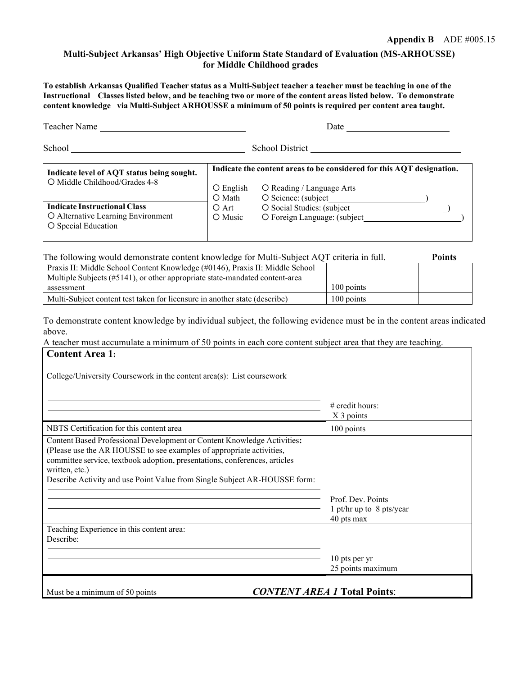#### **Multi-Subject Arkansas' High Objective Uniform State Standard of Evaluation (MS-ARHOUSSE) for Middle Childhood grades**

**To establish Arkansas Qualified Teacher status as a Multi-Subject teacher a teacher must be teaching in one of the** Instructional Classes listed below, and be teaching two or more of the content areas listed below. To demonstrate **content knowledge via Multi-Subject ARHOUSSE a minimum of 50 points is required per content area taught.**

| Teacher Name                                                                                     | Date                         |                                                                                                                                 |
|--------------------------------------------------------------------------------------------------|------------------------------|---------------------------------------------------------------------------------------------------------------------------------|
| School                                                                                           |                              | School District                                                                                                                 |
| Indicate level of AQT status being sought.<br>O Middle Childhood/Grades 4-8                      | $\bigcirc$ English<br>O Math | Indicate the content areas to be considered for this AQT designation.<br>O Reading / Language Arts<br>$\circ$ Science: (subject |
| <b>Indicate Instructional Class</b><br>O Alternative Learning Environment<br>O Special Education | O Art<br>O Music             | O Social Studies: (subject<br>O Foreign Language: (subject                                                                      |

#### The following would demonstrate content knowledge for Multi-Subject AQT criteria in full. **Points**

| Praxis II: Middle School Content Knowledge (#0146), Praxis II: Middle School |            |  |
|------------------------------------------------------------------------------|------------|--|
| Multiple Subjects (#5141), or other appropriate state-mandated content-area  |            |  |
| assessment                                                                   | 100 points |  |
| Multi-Subject content test taken for licensure in another state (describe)   | 100 points |  |

To demonstrate content knowledge by individual subject, the following evidence must be in the content areas indicated above.

A teacher must accumulate a minimum of 50 points in each core content subject area that they are teaching. **Content Area 1:**

| College/University Coursework in the content area(s): List coursework                                                                                                                                                                                                                                                        |                                                             |
|------------------------------------------------------------------------------------------------------------------------------------------------------------------------------------------------------------------------------------------------------------------------------------------------------------------------------|-------------------------------------------------------------|
|                                                                                                                                                                                                                                                                                                                              | $# \text{ credit hours}$ :                                  |
|                                                                                                                                                                                                                                                                                                                              | X 3 points                                                  |
| NBTS Certification for this content area                                                                                                                                                                                                                                                                                     | 100 points                                                  |
| Content Based Professional Development or Content Knowledge Activities:<br>(Please use the AR HOUSSE to see examples of appropriate activities,<br>committee service, textbook adoption, presentations, conferences, articles<br>written, etc.)<br>Describe Activity and use Point Value from Single Subject AR-HOUSSE form: | Prof. Dev. Points<br>1 pt/hr up to 8 pts/year<br>40 pts max |
| Teaching Experience in this content area:<br>Describe:                                                                                                                                                                                                                                                                       | 10 pts per yr                                               |
|                                                                                                                                                                                                                                                                                                                              | 25 points maximum                                           |
| <b>CONTENT AREA 1 Total Points:</b><br>Must be a minimum of 50 points                                                                                                                                                                                                                                                        |                                                             |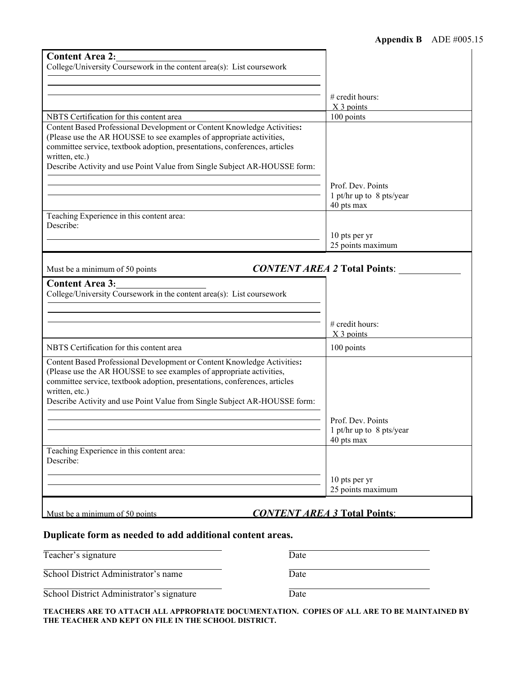| <b>Content Area 2:</b>                                                                                                                                                                                                                                                                                                       |                                                             |
|------------------------------------------------------------------------------------------------------------------------------------------------------------------------------------------------------------------------------------------------------------------------------------------------------------------------------|-------------------------------------------------------------|
| College/University Coursework in the content area(s): List coursework                                                                                                                                                                                                                                                        |                                                             |
|                                                                                                                                                                                                                                                                                                                              |                                                             |
|                                                                                                                                                                                                                                                                                                                              |                                                             |
|                                                                                                                                                                                                                                                                                                                              | # credit hours:<br>X 3 points                               |
| NBTS Certification for this content area                                                                                                                                                                                                                                                                                     | 100 points                                                  |
| Content Based Professional Development or Content Knowledge Activities:<br>(Please use the AR HOUSSE to see examples of appropriate activities,<br>committee service, textbook adoption, presentations, conferences, articles<br>written, etc.)<br>Describe Activity and use Point Value from Single Subject AR-HOUSSE form: |                                                             |
|                                                                                                                                                                                                                                                                                                                              | Prof. Dev. Points<br>1 pt/hr up to 8 pts/year<br>40 pts max |
| Teaching Experience in this content area:                                                                                                                                                                                                                                                                                    |                                                             |
| Describe:                                                                                                                                                                                                                                                                                                                    |                                                             |
|                                                                                                                                                                                                                                                                                                                              | 10 pts per yr                                               |
|                                                                                                                                                                                                                                                                                                                              | 25 points maximum                                           |
| Must be a minimum of 50 points                                                                                                                                                                                                                                                                                               | <b>CONTENT AREA 2 Total Points:</b>                         |
| <b>Content Area 3:</b><br>College/University Coursework in the content area(s): List coursework                                                                                                                                                                                                                              |                                                             |
|                                                                                                                                                                                                                                                                                                                              | # credit hours:<br>X <sub>3</sub> points                    |
| NBTS Certification for this content area                                                                                                                                                                                                                                                                                     | 100 points                                                  |
| Content Based Professional Development or Content Knowledge Activities:<br>(Please use the AR HOUSSE to see examples of appropriate activities,<br>committee service, textbook adoption, presentations, conferences, articles<br>written, etc.)<br>Describe Activity and use Point Value from Single Subject AR-HOUSSE form: | Prof. Dev. Points                                           |
|                                                                                                                                                                                                                                                                                                                              | 1 pt/hr up to 8 pts/year<br>40 pts max                      |
| Teaching Experience in this content area:<br>Describe:                                                                                                                                                                                                                                                                       |                                                             |
|                                                                                                                                                                                                                                                                                                                              | 10 pts per yr<br>25 points maximum                          |
|                                                                                                                                                                                                                                                                                                                              |                                                             |
| Must be a minimum of 50 points                                                                                                                                                                                                                                                                                               | <b>CONTENT AREA 3 Total Points:</b>                         |

## **Duplicate form as needed to add additional content areas.**

| Teacher's signature                       | Date |
|-------------------------------------------|------|
| School District Administrator's name      | Date |
| School District Administrator's signature | Date |

**TEACHERS ARE TO ATTACH ALL APPROPRIATE DOCUMENTATION. COPIES OF ALL ARE TO BE MAINTAINED BY THE TEACHER AND KEPT ON FILE IN THE SCHOOL DISTRICT.**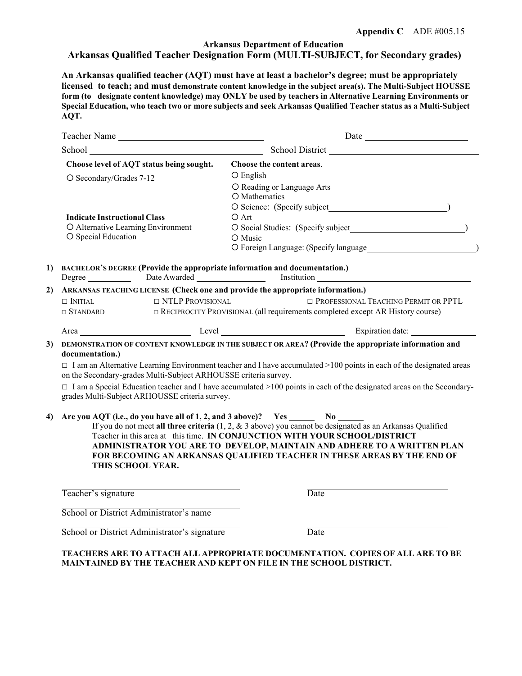#### **Arkansas Department of Education Arkansas Qualified Teacher Designation Form (MULTI-SUBJECT, for Secondary grades)**

**An Arkansas qualified teacher (AQT) must have at least a bachelor's degree; must be appropriately licensed to teach; and must demonstrate content knowledge in the subject area(s). The Multi-Subject HOUSSE form (to designate content knowledge) may ONLY be used by teachers in Alternative Learning Environments or Special Education, who teach two or more subjects and seek Arkansas Qualified Teacher status as a Multi-Subject AQT.**

|    | Teacher Name                                                                                                                                                                                  | Date                                                                                                                                                                                                                                                                                                                                              |  |
|----|-----------------------------------------------------------------------------------------------------------------------------------------------------------------------------------------------|---------------------------------------------------------------------------------------------------------------------------------------------------------------------------------------------------------------------------------------------------------------------------------------------------------------------------------------------------|--|
|    |                                                                                                                                                                                               | School District                                                                                                                                                                                                                                                                                                                                   |  |
|    | Choose level of AQT status being sought.                                                                                                                                                      | Choose the content areas.                                                                                                                                                                                                                                                                                                                         |  |
|    | O Secondary/Grades 7-12                                                                                                                                                                       | O English                                                                                                                                                                                                                                                                                                                                         |  |
|    |                                                                                                                                                                                               | O Reading or Language Arts<br>O Mathematics                                                                                                                                                                                                                                                                                                       |  |
|    |                                                                                                                                                                                               |                                                                                                                                                                                                                                                                                                                                                   |  |
|    | <b>Indicate Instructional Class</b>                                                                                                                                                           | $O$ Art                                                                                                                                                                                                                                                                                                                                           |  |
|    | O Alternative Learning Environment                                                                                                                                                            |                                                                                                                                                                                                                                                                                                                                                   |  |
|    | O Special Education                                                                                                                                                                           | O Music<br>O Foreign Language: (Specify language example 2014)                                                                                                                                                                                                                                                                                    |  |
| 1) | <b>BACHELOR'S DEGREE (Provide the appropriate information and documentation.)</b>                                                                                                             |                                                                                                                                                                                                                                                                                                                                                   |  |
|    | Degree Date Awarded                                                                                                                                                                           | Institution                                                                                                                                                                                                                                                                                                                                       |  |
| 2) | ARKANSAS TEACHING LICENSE (Check one and provide the appropriate information.)                                                                                                                |                                                                                                                                                                                                                                                                                                                                                   |  |
|    | $\Box$ NTLP PROVISIONAL<br>$\Box$ Initial                                                                                                                                                     | <b>D</b> PROFESSIONAL TEACHING PERMIT OR PPTL                                                                                                                                                                                                                                                                                                     |  |
|    | $\Box$ STANDARD                                                                                                                                                                               | $\Box$ RECIPROCITY PROVISIONAL (all requirements completed except AR History course)                                                                                                                                                                                                                                                              |  |
|    |                                                                                                                                                                                               | Area Expiration date:                                                                                                                                                                                                                                                                                                                             |  |
| 3) | documentation.)                                                                                                                                                                               | DEMONSTRATION OF CONTENT KNOWLEDGE IN THE SUBJECT OR AREA? (Provide the appropriate information and                                                                                                                                                                                                                                               |  |
|    | $\Box$ I am an Alternative Learning Environment teacher and I have accumulated >100 points in each of the designated areas<br>on the Secondary-grades Multi-Subject ARHOUSSE criteria survey. |                                                                                                                                                                                                                                                                                                                                                   |  |
|    | grades Multi-Subject ARHOUSSE criteria survey.                                                                                                                                                | $\Box$ I am a Special Education teacher and I have accumulated >100 points in each of the designated areas on the Secondary-                                                                                                                                                                                                                      |  |
| 4) | THIS SCHOOL YEAR.                                                                                                                                                                             | If you do not meet all three criteria $(1, 2, \& 3$ above) you cannot be designated as an Arkansas Qualified<br>Teacher in this area at this time. IN CONJUNCTION WITH YOUR SCHOOL/DISTRICT<br>ADMINISTRATOR YOU ARE TO DEVELOP, MAINTAIN AND ADHERE TO A WRITTEN PLAN<br>FOR BECOMING AN ARKANSAS QUALIFIED TEACHER IN THESE AREAS BY THE END OF |  |
|    | Teacher's signature                                                                                                                                                                           | Date                                                                                                                                                                                                                                                                                                                                              |  |
|    | School or District Administrator's name                                                                                                                                                       |                                                                                                                                                                                                                                                                                                                                                   |  |
|    | School or District Administrator's signature                                                                                                                                                  | Date                                                                                                                                                                                                                                                                                                                                              |  |

**TEACHERS ARE TO ATTACH ALL APPROPRIATE DOCUMENTATION. COPIES OF ALL ARE TO BE MAINTAINED BY THE TEACHER AND KEPT ON FILE IN THE SCHOOL DISTRICT.**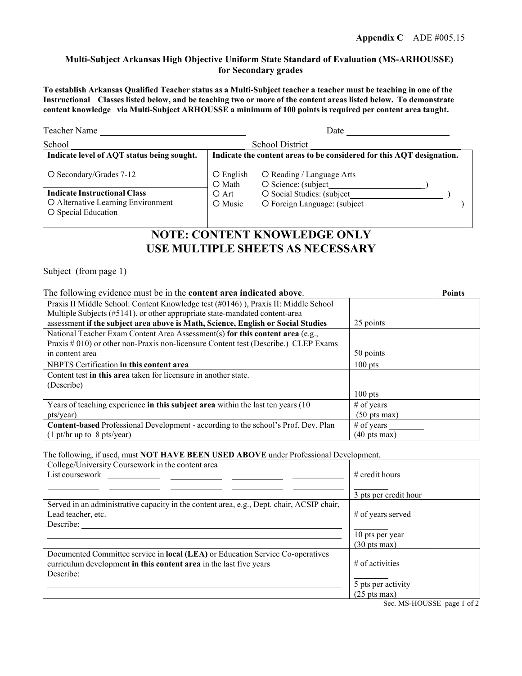#### **Multi-Subject Arkansas High Objective Uniform State Standard of Evaluation (MS-ARHOUSSE) for Secondary grades**

**To establish Arkansas Qualified Teacher status as a Multi-Subject teacher a teacher must be teaching in one of the** Instructional Classes listed below, and be teaching two or more of the content areas listed below. To demonstrate **content knowledge via Multi-Subject ARHOUSSE a minimum of 100 points is required per content area taught.**

| Teacher Name                                                                                     | Date                                                                  |                                                            |  |
|--------------------------------------------------------------------------------------------------|-----------------------------------------------------------------------|------------------------------------------------------------|--|
| School                                                                                           | <b>School District</b>                                                |                                                            |  |
| Indicate level of AQT status being sought.                                                       | Indicate the content areas to be considered for this AQT designation. |                                                            |  |
| O Secondary/Grades 7-12                                                                          | $\bigcirc$ English<br>O Math                                          | O Reading / Language Arts<br>O Science: (subject           |  |
| <b>Indicate Instructional Class</b><br>O Alternative Learning Environment<br>O Special Education | O Art<br>O Music                                                      | O Social Studies: (subject<br>O Foreign Language: (subject |  |

# **NOTE: CONTENT KNOWLEDGE ONLY USE MULTIPLE SHEETS AS NECESSARY**

Subject (from page 1)

| The following evidence must be in the content area indicated above.                       |                                |  |
|-------------------------------------------------------------------------------------------|--------------------------------|--|
| Praxis II Middle School: Content Knowledge test (#0146)), Praxis II: Middle School        |                                |  |
| Multiple Subjects (#5141), or other appropriate state-mandated content-area               |                                |  |
| assessment if the subject area above is Math, Science, English or Social Studies          | 25 points                      |  |
| National Teacher Exam Content Area Assessment(s) for this content area (e.g.,             |                                |  |
| Praxis # 010) or other non-Praxis non-licensure Content test (Describe.) CLEP Exams       |                                |  |
| in content area                                                                           | 50 points                      |  |
| NBPTS Certification in this content area                                                  | $100$ pts                      |  |
| Content test <b>in this area</b> taken for licensure in another state.                    |                                |  |
| (Describe)                                                                                |                                |  |
|                                                                                           | $100$ pts                      |  |
| Years of teaching experience in this subject area within the last ten years (10)          | $#$ of years                   |  |
| pts/year)                                                                                 | $(50 \text{ pts} \text{ max})$ |  |
| <b>Content-based</b> Professional Development - according to the school's Prof. Dev. Plan | $#$ of years                   |  |
| $(1 \text{ pt/hr up to } 8 \text{ pts/year})$                                             | $(40 \text{ pts} \text{max})$  |  |

The following, if used, must **NOT HAVE BEEN USED ABOVE** under Professional Development.

| College/University Coursework in the content area                                         |                                |
|-------------------------------------------------------------------------------------------|--------------------------------|
| List coursework                                                                           | $\#$ credit hours              |
|                                                                                           |                                |
|                                                                                           | 3 pts per credit hour          |
| Served in an administrative capacity in the content area, e.g., Dept. chair, ACSIP chair, |                                |
| Lead teacher, etc.                                                                        | $#$ of years served            |
| Describe:                                                                                 |                                |
|                                                                                           | 10 pts per year                |
|                                                                                           | $(30 \text{ pts} \text{ max})$ |
| Documented Committee service in local (LEA) or Education Service Co-operatives            |                                |
| curriculum development in this content area in the last five years                        | $#$ of activities              |
| Describe:                                                                                 |                                |
|                                                                                           | 5 pts per activity             |
|                                                                                           | $(25 \text{ pts} \text{ max})$ |
|                                                                                           | Sec. MS-HOUSSE page 1 of 2     |